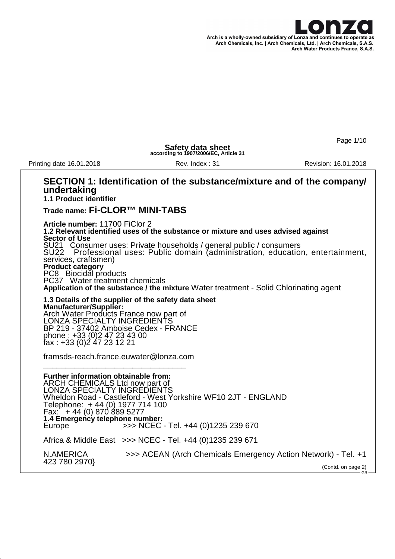

Page 1/10

GB

**Safety data sheet according to 1907/2006/EC, Article 31**

Printing date 16.01.2018 **Rev. Index : 31** Revision: 16.01.2018

### **SECTION 1: Identification of the substance/mixture and of the company/ undertaking 1.1 Product identifier**

### **Trade name: Fi-CLOR™ MINI-TABS**

**Article number:** 11700 FiClor 2 **1.2 Relevant identified uses of the substance or mixture and uses advised against Sector of Use** SU21 Consumer uses: Private households / general public / consumers<br>SU22 Professional uses: Public domain (administration, education Professional uses: Public domain (administration, education, entertainment, services, craftsmen) **Product category** PC8 Biocidal products PC37 Water treatment chemicals **Application of the substance / the mixture** Water treatment - Solid Chlorinating agent

**1.3 Details of the supplier of the safety data sheet Manufacturer/Supplier:** Arch Water Products France now part of LONZA SPECIALTY INGREDIENTS BP 219 - 37402 Amboise Cedex - FRANCE phone : +33 (0)2 47 23 43 00 fax : +33 (0)2 47 23 12 21

framsds-reach.france.euwater@lonza.com \_\_\_\_\_\_\_\_\_\_\_\_\_\_\_\_\_\_\_\_\_\_\_\_\_\_\_\_\_\_\_\_

**Further information obtainable from:** ARCH CHEMICALS Ltd now part of

LONZA SPECIALTY INGREDIENTS Wheldon Road - Castleford - West Yorkshire WF10 2JT - ENGLAND Telephone: + 44 (0) 1977 714 100 Fax: + 44 (0) 870 889 5277 **1.4 Emergency telephone number:** Europe **Fig. 2012** >>> NCEC - Tel. +44 (0)1235 239 670 Africa & Middle East >>> NCEC - Tel. +44 (0)1235 239 671

N.AMERICA >>> ACEAN (Arch Chemicals Emergency Action Network) - Tel. +1 423 780 2970} (Contd. on page 2)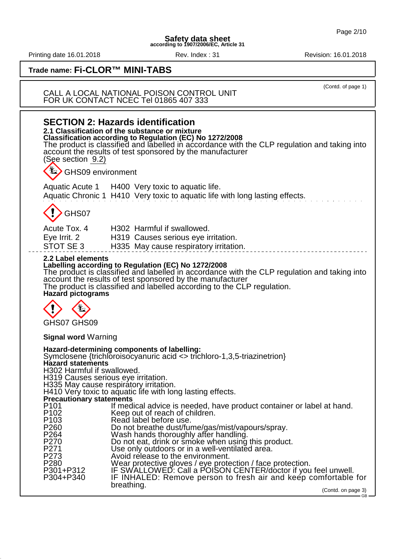Printing date 16.01.2018 **Rev. Index : 31** Rev. Index : 31

# **Trade name: Fi-CLOR™ MINI-TABS**

### CALL A LOCAL NATIONAL POISON CONTROL UNIT FOR UK CONTACT NCEC Tel 01865 407 333

| <b>SECTION 2: Hazards identification</b><br>2.1 Classification of the substance or mixture<br><b>Classification according to Regulation (EC) No 1272/2008</b><br>The product is classified and labelled in accordance with the CLP regulation and taking into<br>account the results of test sponsored by the manufacturer<br>(See section 9.2)                                                                                                                                                                                                                                                                                                                                                                                                                                                                                                                                                                                                                                                                                                                                                                                                   |                                                                                                                                  |                                  |
|---------------------------------------------------------------------------------------------------------------------------------------------------------------------------------------------------------------------------------------------------------------------------------------------------------------------------------------------------------------------------------------------------------------------------------------------------------------------------------------------------------------------------------------------------------------------------------------------------------------------------------------------------------------------------------------------------------------------------------------------------------------------------------------------------------------------------------------------------------------------------------------------------------------------------------------------------------------------------------------------------------------------------------------------------------------------------------------------------------------------------------------------------|----------------------------------------------------------------------------------------------------------------------------------|----------------------------------|
| <b>L</b> > GHS09 environment                                                                                                                                                                                                                                                                                                                                                                                                                                                                                                                                                                                                                                                                                                                                                                                                                                                                                                                                                                                                                                                                                                                      |                                                                                                                                  |                                  |
|                                                                                                                                                                                                                                                                                                                                                                                                                                                                                                                                                                                                                                                                                                                                                                                                                                                                                                                                                                                                                                                                                                                                                   | Aquatic Acute 1 H400 Very toxic to aquatic life.<br>Aquatic Chronic 1 H410 Very toxic to aquatic life with long lasting effects. |                                  |
| GHS07                                                                                                                                                                                                                                                                                                                                                                                                                                                                                                                                                                                                                                                                                                                                                                                                                                                                                                                                                                                                                                                                                                                                             |                                                                                                                                  |                                  |
| Acute Tox, 4<br>Eye Irrit. 2<br>STOT SE 3                                                                                                                                                                                                                                                                                                                                                                                                                                                                                                                                                                                                                                                                                                                                                                                                                                                                                                                                                                                                                                                                                                         | H302 Harmful if swallowed.<br>H319 Causes serious eye irritation.<br>H335 May cause respiratory irritation.                      |                                  |
| 2.2 Label elements<br>Labelling according to Regulation (EC) No 1272/2008<br>The product is classified and labelled in accordance with the CLP regulation and taking into<br>account the results of test sponsored by the manufacturer<br>The product is classified and labelled according to the CLP regulation.<br><b>Hazard pictograms</b>                                                                                                                                                                                                                                                                                                                                                                                                                                                                                                                                                                                                                                                                                                                                                                                                     |                                                                                                                                  |                                  |
| GHS07 GHS09                                                                                                                                                                                                                                                                                                                                                                                                                                                                                                                                                                                                                                                                                                                                                                                                                                                                                                                                                                                                                                                                                                                                       |                                                                                                                                  |                                  |
| <b>Signal word Warning</b>                                                                                                                                                                                                                                                                                                                                                                                                                                                                                                                                                                                                                                                                                                                                                                                                                                                                                                                                                                                                                                                                                                                        |                                                                                                                                  |                                  |
| Hazard-determining components of labelling:<br>Symclosene {trichloroisocyanuric acid $\leq$ trichloro-1,3,5-triazinetrion}<br><b>Hazard statements</b><br>H302 Harmful if swallowed.<br>H319 Causes serious eye irritation.<br>H335 May cause respiratory irritation.<br>H410 Very toxic to aquatic life with long lasting effects.<br><b>Precautionary statements</b><br>P <sub>101</sub><br>If medical advice is needed, have product container or label at hand.<br>P <sub>102</sub><br>Keep out of reach of children.<br>P <sub>103</sub><br>Read label before use.<br>P <sub>260</sub><br>Do not breathe dust/fume/gas/mist/vapours/spray.<br>P <sub>264</sub><br>Wash hands thoroughly after handling.<br>P270<br>Do not eat, drink or smoke when using this product.<br>P271<br>Use only outdoors or in a well-ventilated area.<br>P273<br>Avoid release to the environment.<br>P <sub>280</sub><br>Wear protective gloves / eye protection / face protection.<br>IF SWALLOWED: Call a POISON CENTER/doctor if you feel unwell.<br>P301+P312<br>P304+P340<br>IF INHALED: Remove person to fresh air and keep comfortable for<br>breathing. |                                                                                                                                  |                                  |
|                                                                                                                                                                                                                                                                                                                                                                                                                                                                                                                                                                                                                                                                                                                                                                                                                                                                                                                                                                                                                                                                                                                                                   |                                                                                                                                  | (Contd. on page 3)<br>$-$ GB $-$ |

(Contd. of page 1)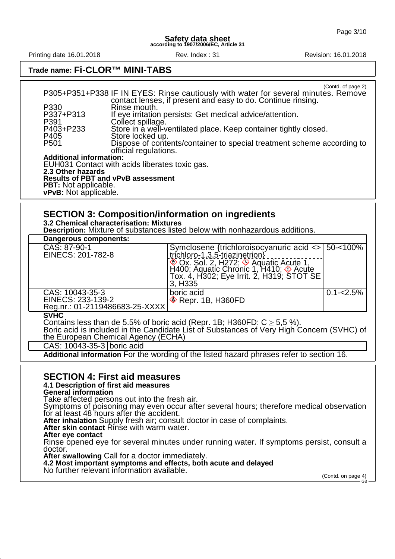Printing date 16.01.2018 Rev. Index : 31 Revision: 16.01.2018

## **Trade name: Fi-CLOR™ MINI-TABS**

|                                                | (Contd. of page 2)<br>P305+P351+P338 IF IN EYES: Rinse cautiously with water for several minutes. Remove<br>contact lenses, if present and easy to do. Continue rinsing. |  |  |
|------------------------------------------------|--------------------------------------------------------------------------------------------------------------------------------------------------------------------------|--|--|
| P330                                           | Rinse mouth.                                                                                                                                                             |  |  |
| P337+P313<br>P391                              | If eye irritation persists: Get medical advice/attention.<br>Collect spillage.                                                                                           |  |  |
| P403+P233                                      | Store in a well-ventilated place. Keep container tightly closed.                                                                                                         |  |  |
| P405                                           | Store locked up.                                                                                                                                                         |  |  |
| P <sub>501</sub>                               | Dispose of contents/container to special treatment scheme according to                                                                                                   |  |  |
|                                                | official regulations.                                                                                                                                                    |  |  |
| <b>Additional information:</b>                 |                                                                                                                                                                          |  |  |
| EUH031 Contact with acids liberates toxic gas. |                                                                                                                                                                          |  |  |
| 2.3 Other hazards                              |                                                                                                                                                                          |  |  |
| <b>Results of PBT and vPvB assessment</b>      |                                                                                                                                                                          |  |  |
| <b>PBT:</b> Not applicable.                    |                                                                                                                                                                          |  |  |
| vPvB: Not applicable.                          |                                                                                                                                                                          |  |  |

## **SECTION 3: Composition/information on ingredients**

**3.2 Chemical characterisation: Mixtures**

**Description:** Mixture of substances listed below with nonhazardous additions.

| Dangerous components:                                                       |                                                                                  |                 |  |
|-----------------------------------------------------------------------------|----------------------------------------------------------------------------------|-----------------|--|
| CAS: 87-90-1                                                                | Symclosene {trichloroisocyanuric acid <>   50-<100%                              |                 |  |
| EINECS: 201-782-8                                                           | trichloro-1,3,5-triazinetrion}                                                   |                 |  |
|                                                                             | ⊙ Ox. Sol. 2, H272; ☉ Aquatic Acute 1,<br>H400; Aquatic Chronic 1, H410; ☉ Acute |                 |  |
|                                                                             | Tox. 4, H302; Eye Irrit. 2, H319; STOT SE                                        |                 |  |
|                                                                             | 3, H <sub>335</sub>                                                              |                 |  |
| CAS: 10043-35-3                                                             | boric acid                                                                       | $ 0.1 - 2.5\% $ |  |
| EINECS: 233-139-2                                                           | $\otimes$ Repr. 1B, $H360$ FD                                                    |                 |  |
| Reg.nr.: 01-2119486683-25-XXXX                                              |                                                                                  |                 |  |
| <b>SVHC</b>                                                                 |                                                                                  |                 |  |
| Contains less than de 5.5% of boric acid (Repr. 1B; H360FD: $C \ge 5.5$ %). |                                                                                  |                 |  |

Boric acid is included in the Candidate List of Substances of Very High Concern (SVHC) of the European Chemical Agency (ECHA)

CAS: 10043-35-3 boric acid

**Additional information** For the wording of the listed hazard phrases refer to section 16.

### **SECTION 4: First aid measures**

### **4.1 Description of first aid measures**

**General information**

Take affected persons out into the fresh air.

Symptoms of poisoning may even occur after several hours; therefore medical observation for at least 48 hours after the accident.

**After inhalation** Supply fresh air; consult doctor in case of complaints.

After skin contact Rinse with warm water.

**After eye contact**

Rinse opened eye for several minutes under running water. If symptoms persist, consult a doctor.

**After swallowing** Call for a doctor immediately.

**4.2 Most important symptoms and effects, both acute and delayed**

No further relevant information available.

(Contd. on page 4) - GR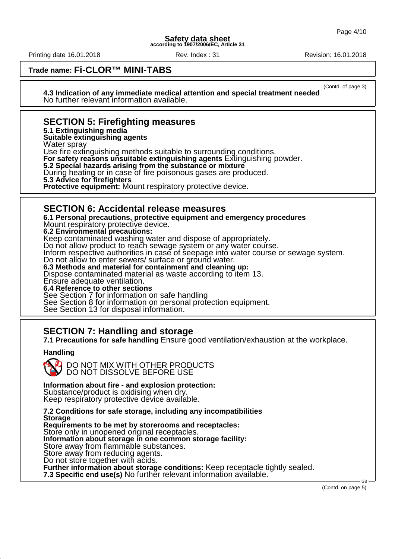Printing date 16.01.2018 Rev. Index : 31 Revision: 16.01.2018

(Contd. of page 3)

### **Trade name: Fi-CLOR™ MINI-TABS**

**4.3 Indication of any immediate medical attention and special treatment needed** No further relevant information available.

## **SECTION 5: Firefighting measures**

**5.1 Extinguishing media**

**Suitable extinguishing agents**

Water spray

Use fire extinguishing methods suitable to surrounding conditions.

**For safety reasons unsuitable extinguishing agents** Extinguishing powder.

**5.2 Special hazards arising from the substance or mixture**

During heating or in case of fire poisonous gases are produced.

**5.3 Advice for firefighters**

**Protective equipment:** Mount respiratory protective device.

### **SECTION 6: Accidental release measures**

**6.1 Personal precautions, protective equipment and emergency procedures**

Mount respiratory protective device. **6.2 Environmental precautions:**

Keep contaminated washing water and dispose of appropriately.

Do not allow product to reach sewage system or any water course.

Inform respective authorities in case of seepage into water course or sewage system.

Do not allow to enter sewers/ surface or ground water.

**6.3 Methods and material for containment and cleaning up:**

Dispose contaminated material as waste according to item 13.

Ensure adequate ventilation.

**6.4 Reference to other sections**

See Section 7 for information on safe handling

See Section 8 for information on personal protection equipment.

See Section 13 for disposal information.

## **SECTION 7: Handling and storage**

**7.1 Precautions for safe handling** Ensure good ventilation/exhaustion at the workplace.

### **Handling**



### **Information about fire - and explosion protection:**

Substance/product is oxidising when dry.

Keep respiratory protective device available.

**7.2 Conditions for safe storage, including any incompatibilities Storage Requirements to be met by storerooms and receptacles:**

Store only in unopened original receptacles.

**Information about storage in one common storage facility:**

Store away from flammable substances.

Store away from reducing agents.

Do not store together with acids.

**Further information about storage conditions:** Keep receptacle tightly sealed.

**7.3 Specific end use(s)** No further relevant information available.

(Contd. on page 5)

GB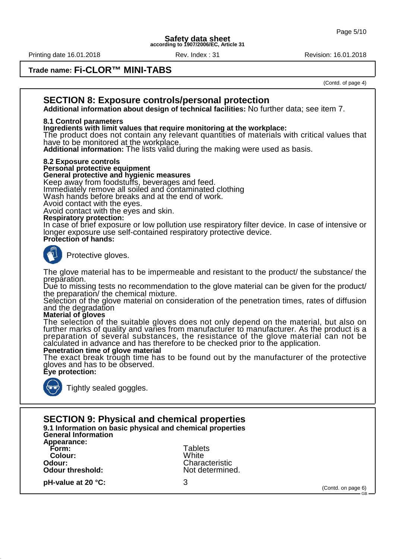Printing date 16.01.2018 Rev. Index : 31 Revision: 16.01.2018

### **Trade name: Fi-CLOR™ MINI-TABS**

(Contd. of page 4)



**pH-value at 20 °C:** 3

(Contd. on page 6)

GB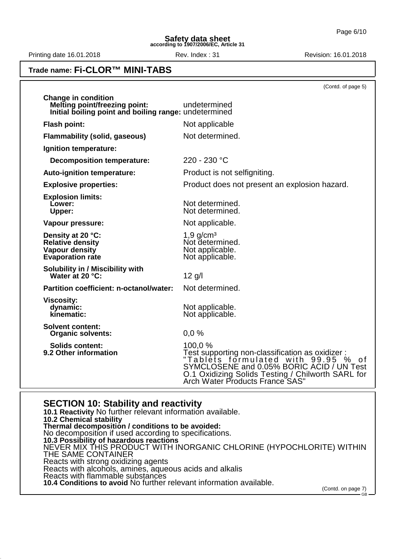GB

**Safety data sheet according to 1907/2006/EC, Article 31**

Printing date 16.01.2018 **Rev.** Index : 31 Revision: 16.01.2018

### **Trade name: Fi-CLOR™ MINI-TABS**

|                                                                                                                             | (Contd. of page 5)                                                                                                                                                                                                                         |
|-----------------------------------------------------------------------------------------------------------------------------|--------------------------------------------------------------------------------------------------------------------------------------------------------------------------------------------------------------------------------------------|
| <b>Change in condition</b><br><b>Melting point/freezing point:</b><br>Initial boiling point and boiling range: undetermined | undetermined                                                                                                                                                                                                                               |
| <b>Flash point:</b>                                                                                                         | Not applicable                                                                                                                                                                                                                             |
| <b>Flammability (solid, gaseous)</b>                                                                                        | Not determined.                                                                                                                                                                                                                            |
| Ignition temperature:                                                                                                       |                                                                                                                                                                                                                                            |
| <b>Decomposition temperature:</b>                                                                                           | 220 - 230 °C                                                                                                                                                                                                                               |
| Auto-ignition temperature:                                                                                                  | Product is not selfigniting.                                                                                                                                                                                                               |
| <b>Explosive properties:</b>                                                                                                | Product does not present an explosion hazard.                                                                                                                                                                                              |
| <b>Explosion limits:</b><br>Lower:<br>Upper:                                                                                | Not determined.<br>Not determined.                                                                                                                                                                                                         |
| Vapour pressure:                                                                                                            | Not applicable.                                                                                                                                                                                                                            |
| Density at 20 °C:<br><b>Relative density</b><br><b>Vapour density</b><br><b>Evaporation rate</b>                            | $1,9$ g/cm <sup>3</sup><br>Not determined.<br>Not applicable.<br>Not applicable.                                                                                                                                                           |
| Solubility in / Miscibility with<br>Water at 20 °C:                                                                         | $12$ g/l                                                                                                                                                                                                                                   |
| Partition coefficient: n-octanol/water:                                                                                     | Not determined.                                                                                                                                                                                                                            |
| <b>Viscosity:</b><br>dynamic:<br>kinematic:                                                                                 | Not applicable.<br>Not applicable.                                                                                                                                                                                                         |
| <b>Solvent content:</b><br><b>Organic solvents:</b>                                                                         | 0,0%                                                                                                                                                                                                                                       |
| <b>Solids content:</b><br>9.2 Other information                                                                             | 100,0 %<br>Test supporting non-classification as oxidizer:<br>"Tablėts formulated with 99.95 %<br>0 f<br>SYMCLOSENE and 0.05% BORIC ACID / UN Test<br>O.1 Oxidizing Solids Testing / Chilworth SARL for<br>Arch Water Products France SAS" |

### **SECTION 10: Stability and reactivity**

**10.1 Reactivity** No further relevant information available. **10.2 Chemical stability Thermal decomposition / conditions to be avoided:** No decomposition if used according to specifications. **10.3 Possibility of hazardous reactions** NEVER MIX THIS PRODUCT WITH INORGANIC CHLORINE (HYPOCHLORITE) WITHIN THE SAME CONTAINER Reacts with strong oxidizing agents Reacts with alcohols, amines, aqueous acids and alkalis Reacts with flammable substances **10.4 Conditions to avoid** No further relevant information available. (Contd. on page 7)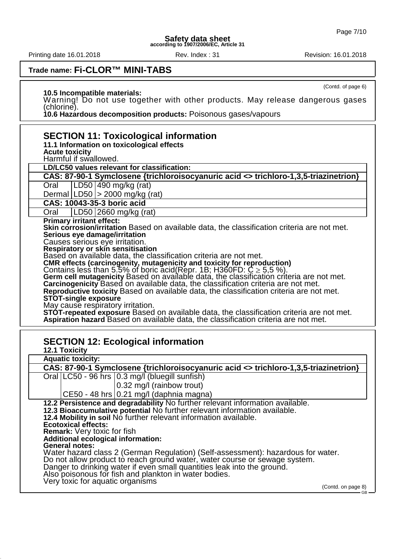Printing date 16.01.2018 **Rev. Index : 31** Rev. Index : 31

(Contd. of page 6)

## **Trade name: Fi-CLOR™ MINI-TABS**

**10.5 Incompatible materials:**

Warning! Do not use together with other products. May release dangerous gases (chlorine).

**10.6 Hazardous decomposition products:** Poisonous gases/vapours

| <b>SECTION 11: Toxicological information</b><br>11.1 Information on toxicological effects<br><b>Acute toxicity</b><br>Harmful if swallowed.                                                                                                                                                                                                                                                                                                                                                                                                                                                                                                                                                                                                                                                                                                                                                                                                                                                          |                                                                                      |  |  |
|------------------------------------------------------------------------------------------------------------------------------------------------------------------------------------------------------------------------------------------------------------------------------------------------------------------------------------------------------------------------------------------------------------------------------------------------------------------------------------------------------------------------------------------------------------------------------------------------------------------------------------------------------------------------------------------------------------------------------------------------------------------------------------------------------------------------------------------------------------------------------------------------------------------------------------------------------------------------------------------------------|--------------------------------------------------------------------------------------|--|--|
|                                                                                                                                                                                                                                                                                                                                                                                                                                                                                                                                                                                                                                                                                                                                                                                                                                                                                                                                                                                                      | LD/LC50 values relevant for classification:                                          |  |  |
|                                                                                                                                                                                                                                                                                                                                                                                                                                                                                                                                                                                                                                                                                                                                                                                                                                                                                                                                                                                                      | CAS: 87-90-1 Symclosene {trichloroisocyanuric acid <> trichloro-1,3,5-triazinetrion} |  |  |
|                                                                                                                                                                                                                                                                                                                                                                                                                                                                                                                                                                                                                                                                                                                                                                                                                                                                                                                                                                                                      | LD50   490 mg/kg (rat)<br>Oral                                                       |  |  |
|                                                                                                                                                                                                                                                                                                                                                                                                                                                                                                                                                                                                                                                                                                                                                                                                                                                                                                                                                                                                      | Dermal   LD50   > 2000 mg/kg (rat)                                                   |  |  |
|                                                                                                                                                                                                                                                                                                                                                                                                                                                                                                                                                                                                                                                                                                                                                                                                                                                                                                                                                                                                      | CAS: 10043-35-3 boric acid                                                           |  |  |
|                                                                                                                                                                                                                                                                                                                                                                                                                                                                                                                                                                                                                                                                                                                                                                                                                                                                                                                                                                                                      | LD50 2660 mg/kg (rat)<br>Oral                                                        |  |  |
| <b>Primary irritant effect:</b><br>Skin corrosion/irritation Based on available data, the classification criteria are not met.<br>Serious eye damage/irritation<br>Causes serious eye irritation.<br>Respiratory or skin sensitisation<br>Based on available data, the classification criteria are not met.<br>CMR effects (carcinogenity, mutagenicity and toxicity for reproduction)<br>Contains less than 5.5% of boric acid(Repr. 1B; H360FD: $C \ge 5.5$ %).<br>Germ cell mutagenicity Based on available data, the classification criteria are not met.<br>Carcinogenicity Based on available data, the classification criteria are not met.<br>Reproductive toxicity Based on available data, the classification criteria are not met.<br><b>STOT-single exposure</b><br>May cause respiratory irritation.<br>STOT-repeated exposure Based on available data, the classification criteria are not met.<br>Aspiration hazard Based on available data, the classification criteria are not met. |                                                                                      |  |  |
|                                                                                                                                                                                                                                                                                                                                                                                                                                                                                                                                                                                                                                                                                                                                                                                                                                                                                                                                                                                                      | <b>SECTION 12: Ecological information</b>                                            |  |  |

| <b>SECTION 12: Ecological information</b>                                                                                                                                                                                                                                                                                                                                                                                                                                                                                                                                                                                                                                                                                          |  |  |  |  |
|------------------------------------------------------------------------------------------------------------------------------------------------------------------------------------------------------------------------------------------------------------------------------------------------------------------------------------------------------------------------------------------------------------------------------------------------------------------------------------------------------------------------------------------------------------------------------------------------------------------------------------------------------------------------------------------------------------------------------------|--|--|--|--|
| <b>12.1 Toxicity</b>                                                                                                                                                                                                                                                                                                                                                                                                                                                                                                                                                                                                                                                                                                               |  |  |  |  |
| <b>Aquatic toxicity:</b>                                                                                                                                                                                                                                                                                                                                                                                                                                                                                                                                                                                                                                                                                                           |  |  |  |  |
| CAS: 87-90-1 Symclosene {trichloroisocyanuric acid <> trichloro-1,3,5-triazinetrion}                                                                                                                                                                                                                                                                                                                                                                                                                                                                                                                                                                                                                                               |  |  |  |  |
| Oral   LC50 - 96 hrs   0.3 mg/l (bluegill sunfish)                                                                                                                                                                                                                                                                                                                                                                                                                                                                                                                                                                                                                                                                                 |  |  |  |  |
| $ 0.32 \text{ mg}/I$ (rainbow trout)                                                                                                                                                                                                                                                                                                                                                                                                                                                                                                                                                                                                                                                                                               |  |  |  |  |
| CE50 - 48 hrs $ 0.21 \text{ mg}/I$ (daphnia magna)                                                                                                                                                                                                                                                                                                                                                                                                                                                                                                                                                                                                                                                                                 |  |  |  |  |
| 12.2 Persistence and degradability No further relevant information available.<br>12.3 Bioaccumulative potential No further relevant information available.<br>12.4 Mobility in soil No further relevant information available.<br><b>Ecotoxical effects:</b><br>Remark: Very toxic for fish<br>Additional ecological information:<br><b>General notes:</b><br>Water hazard class 2 (German Regulation) (Self-assessment): hazardous for water.<br>Do not allow product to reach ground water, water course or sewage system.<br>Danger to drinking water if even small quantities leak into the ground.<br>Also poisonous for fish and plankton in water bodies.<br>Very toxic for aquatic organisms<br>(Contd. on page 8)<br>GB - |  |  |  |  |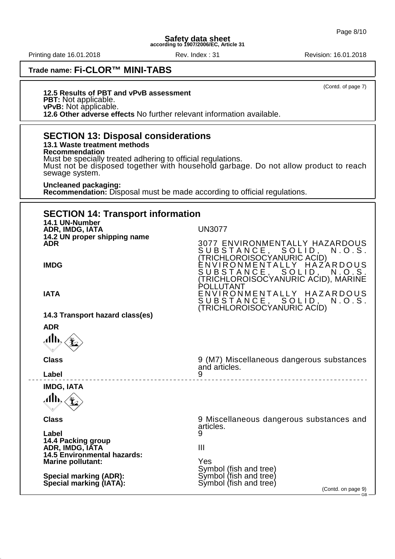Printing date 16.01.2018 Rev. Index : 31 Revision: 16.01.2018

**Trade name: Fi-CLOR™ MINI-TABS**

(Contd. of page 7)

**12.5 Results of PBT and vPvB assessment PBT:** Not applicable. **vPvB:** Not applicable. **12.6 Other adverse effects** No further relevant information available.

**SECTION 13: Disposal considerations 13.1 Waste treatment methods Recommendation** Must be specially treated adhering to official regulations. Must not be disposed together with household garbage. Do not allow product to reach sewage system. **Uncleaned packaging: Recommendation:** Disposal must be made according to official regulations. **SECTION 14: Transport information 14.1 UN-Number ADR, IMDG, IATA** UN3077 **14.2 UN proper shipping name 3077 ENVIRONMENTALLY HAZARDOUS<br>SUBSTANCE, SOLID, N.O.S.** SUBSTANCE, SOLID, N.O.S. (TRICHLOROISOCYANURIC ACID) **IMDG** ENVIRONMENTALLY HAZARDOUS SUBSTANCE, SOLID, N.O.S. (TRICHLOROISOCYANURIC ACID), MARINE POLLUTANT **IATA ENVIRONMENTALLY HAZARDOUS**<br>SUBSTANCE, SOLID, N.O.S. SUBSTANCE, SOLID, N.O.S. (TRICHLOROISOCYANURIC ACID) **14.3 Transport hazard class(es) ADR** Alb. **Class** 9 (M7) Miscellaneous dangerous substances and articles.<br>9 **Label** 9 **IMDG, IATA** Alb. **Class** 9 Miscellaneous dangerous substances and articles. **Label** 9 **14.4 Packing group ADR, IMDG, IATA III 14.5 Environmental hazards: Marine pollutant:** Yes Symbol (fish and tree)<br>Symbol (fish and tree) **Special marking (ADR):** Symbol (fish and tree) **Special marking (IATA):** (Contd. on page 9) GB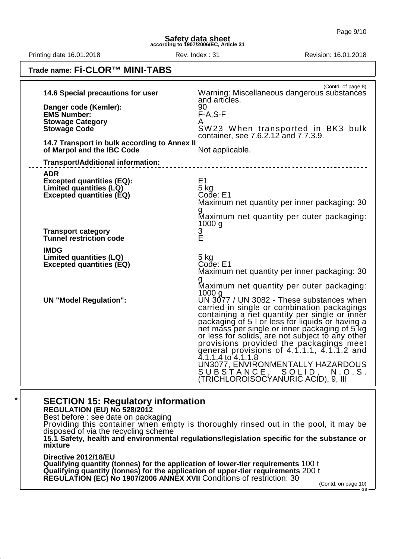Printing date 16.01.2018 **Rev.** Index : 31 Revision: 16.01.2018

## **Trade name: Fi-CLOR™ MINI-TABS**

| 14.6 Special precautions for user<br>Danger code (Kemler):<br><b>EMS Number:</b><br><b>Stowage Category</b><br><b>Stowage Code</b><br>14.7 Transport in bulk according to Annex II<br>of Marpol and the IBC Code<br><b>Transport/Additional information:</b> | (Contd. of page 8)<br>Warning: Miscellaneous dangerous substances<br>and articles.<br>90<br>$F-A, S-F$<br>A<br>SW23 When transported in BK3 bulk<br>container, see 7.6.2.12 and 7.7.3.9.<br>Not applicable.<br>_________________________________                                                                                                                                                                                                                                                                           |
|--------------------------------------------------------------------------------------------------------------------------------------------------------------------------------------------------------------------------------------------------------------|----------------------------------------------------------------------------------------------------------------------------------------------------------------------------------------------------------------------------------------------------------------------------------------------------------------------------------------------------------------------------------------------------------------------------------------------------------------------------------------------------------------------------|
| <b>ADR</b><br><b>Excepted quantities (EQ):</b><br>Limited quantities (LQ)<br><b>Excepted quantities (EQ)</b><br><b>Transport category</b><br><b>Tunnel restriction code</b>                                                                                  | E <sub>1</sub><br>5 kg<br>Code: E1<br>Maximum net quantity per inner packaging: 30<br>Maximum net quantity per outer packaging:<br>1000q<br>3<br>Ě                                                                                                                                                                                                                                                                                                                                                                         |
| <b>IMDG</b><br>Limited quantities (LQ)<br><b>Excepted quantities (EQ)</b>                                                                                                                                                                                    | $5$ kg<br>Code: E1<br>Maximum net quantity per inner packaging: 30<br>Maximum net quantity per outer packaging:<br>1000 g                                                                                                                                                                                                                                                                                                                                                                                                  |
| <b>UN "Model Regulation":</b>                                                                                                                                                                                                                                | UN 3077 / UN 3082 - These substances when<br>carried in single or combination packagings<br>containing a net quantity per single or inner<br>packaging of 5 I or less for liquids or having a<br>net mass per single or inner packaging of 5 kg<br>or less for solids, are not subject to any other<br>provisions provided the packagings meet<br>general provisions of 4.1.1.1, 4.1.1.2 and<br>4.1.1.4 to 4.1.1.8<br>UN3077, ENVIRONMENTALLY HAZARDOUS<br>SUBSTANCE, SOLID, N.O.S.<br>(TRICHLOROISOCYANURIC ACID), 9, III |

## **SECTION 15: Regulatory information**

**REGULATION (EU) No 528/2012**

Best before : see date on packaging Providing this container when empty is thoroughly rinsed out in the pool, it may be disposed of via the recycling scheme **15.1 Safety, health and environmental regulations/legislation specific for the substance or mixture Directive 2012/18/EU**

**Qualifying quantity (tonnes) for the application of lower-tier requirements** 100 t **Qualifying quantity (tonnes) for the application of upper-tier requirements** 200 t **REGULATION (EC) No 1907/2006 ANNEX XVII** Conditions of restriction: 30

(Contd. on page 10)

GB